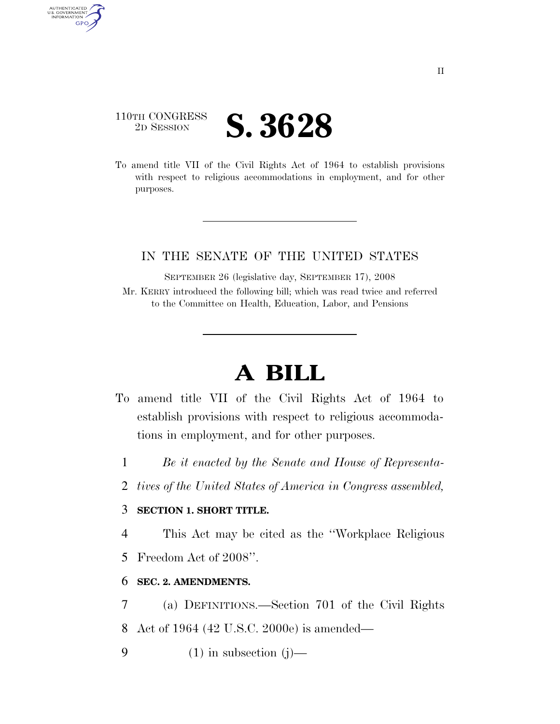### 110TH CONGRESS 2D SESSION **S. 3628**

AUTHENTICATED<br>U.S. GOVERNMENT<br>INFORMATION

**GPO** 

To amend title VII of the Civil Rights Act of 1964 to establish provisions with respect to religious accommodations in employment, and for other purposes.

#### IN THE SENATE OF THE UNITED STATES

SEPTEMBER 26 (legislative day, SEPTEMBER 17), 2008 Mr. KERRY introduced the following bill; which was read twice and referred to the Committee on Health, Education, Labor, and Pensions

# **A BILL**

- To amend title VII of the Civil Rights Act of 1964 to establish provisions with respect to religious accommodations in employment, and for other purposes.
	- 1 *Be it enacted by the Senate and House of Representa-*
	- 2 *tives of the United States of America in Congress assembled,*

#### 3 **SECTION 1. SHORT TITLE.**

4 This Act may be cited as the ''Workplace Religious

5 Freedom Act of 2008''.

#### 6 **SEC. 2. AMENDMENTS.**

- 7 (a) DEFINITIONS.—Section 701 of the Civil Rights
- 8 Act of 1964 (42 U.S.C. 2000e) is amended—

9  $(1)$  in subsection  $(j)$ —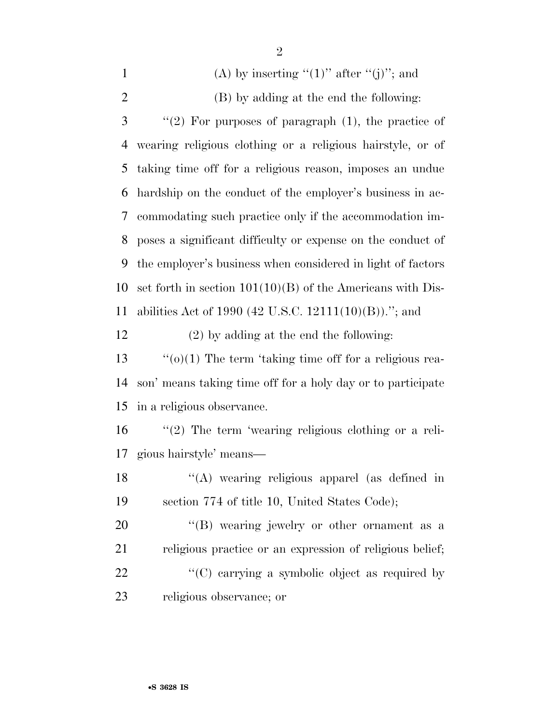| $\mathbf{1}$   | (A) by inserting " $(1)$ " after " $(j)$ "; and              |
|----------------|--------------------------------------------------------------|
| $\overline{2}$ | (B) by adding at the end the following:                      |
| 3              | "(2) For purposes of paragraph $(1)$ , the practice of       |
| $\overline{4}$ | wearing religious clothing or a religious hairstyle, or of   |
| 5              | taking time off for a religious reason, imposes an undue     |
| 6              | hardship on the conduct of the employer's business in ac-    |
| 7              | commodating such practice only if the accommodation im-      |
| 8              | poses a significant difficulty or expense on the conduct of  |
| 9              | the employer's business when considered in light of factors  |
| 10             | set forth in section $101(10)(B)$ of the Americans with Dis- |
| 11             | abilities Act of 1990 (42 U.S.C. 12111(10)(B))."; and        |
| 12             | $(2)$ by adding at the end the following:                    |
| 13             | $``(o)(1)$ The term 'taking time off for a religious rea-    |
| 14             | son' means taking time off for a holy day or to participate  |
| 15             | in a religious observance.                                   |
| 16             | $"(2)$ The term 'wearing religious clothing or a reli-       |
| 17             | gious hairstyle' means—                                      |
| 18             | "(A) wearing religious apparel (as defined in                |
| 19             | section 774 of title 10, United States Code);                |
| 20             | "(B) wearing jewelry or other ornament as a                  |
| 21             | religious practice or an expression of religious belief;     |
| 22             | "(C) carrying a symbolic object as required by               |
| 23             | religious observance; or                                     |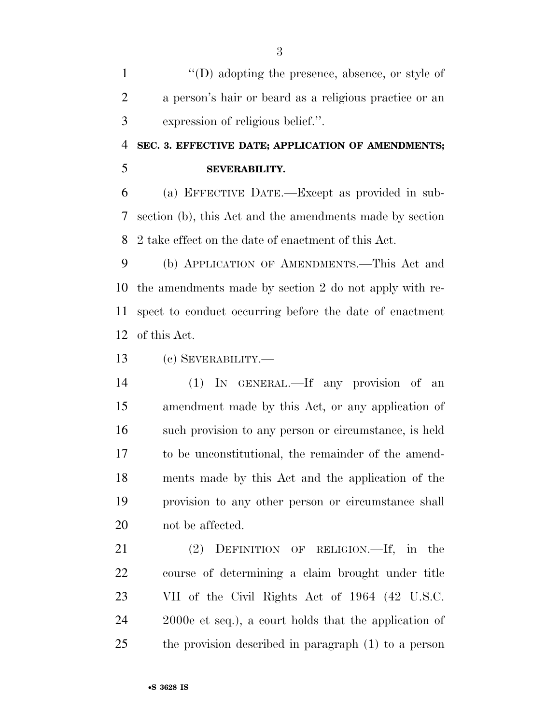1 ''(D) adopting the presence, absence, or style of a person's hair or beard as a religious practice or an expression of religious belief.''.

## **SEC. 3. EFFECTIVE DATE; APPLICATION OF AMENDMENTS; SEVERABILITY.**

 (a) EFFECTIVE DATE.—Except as provided in sub- section (b), this Act and the amendments made by section 2 take effect on the date of enactment of this Act.

 (b) APPLICATION OF AMENDMENTS.—This Act and the amendments made by section 2 do not apply with re- spect to conduct occurring before the date of enactment of this Act.

(c) SEVERABILITY.—

 (1) IN GENERAL.—If any provision of an amendment made by this Act, or any application of such provision to any person or circumstance, is held to be unconstitutional, the remainder of the amend- ments made by this Act and the application of the provision to any other person or circumstance shall not be affected.

 (2) DEFINITION OF RELIGION.—If, in the course of determining a claim brought under title VII of the Civil Rights Act of 1964 (42 U.S.C. 2000e et seq.), a court holds that the application of the provision described in paragraph (1) to a person